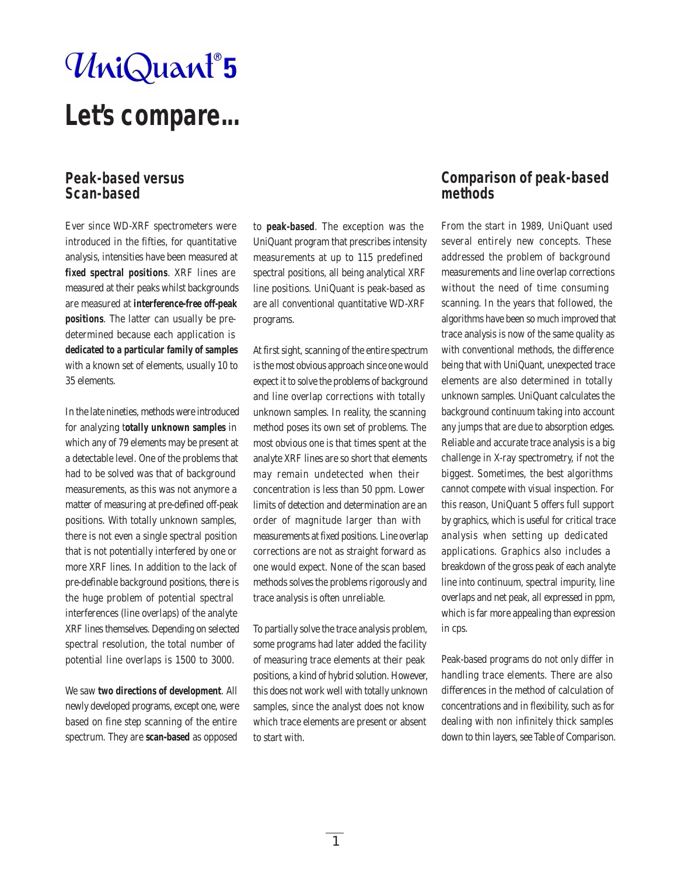# UniQuant®5

## **Let's compare...**

#### **Peak-based versus Scan-based**

Ever since WD-XRF spectrometers were introduced in the fifties, for quantitative analysis, intensities have been measured at **fixed spectral positions**. XRF lines are measured at their peaks whilst backgrounds are measured at **interference-free off-peak positions**. The latter can usually be predetermined because each application is **dedicated to a particular family of samples** with a known set of elements, usually 10 to 35 elements.

In the late nineties, methods were introduced for analyzing t**otally unknown samples** in which any of 79 elements may be present at a detectable level. One of the problems that had to be solved was that of background measurements, as this was not anymore a matter of measuring at pre-defined off-peak positions. With totally unknown samples, there is not even a single spectral position that is not potentially interfered by one or more XRF lines. In addition to the lack of pre-definable background positions, there is the huge problem of potential spectral interferences (line overlaps) of the analyte XRF lines themselves. Depending on selected spectral resolution, the total number of potential line overlaps is 1500 to 3000.

We saw **two directions of development**. All newly developed programs, except one, were based on fine step scanning of the entire spectrum. They are **scan-based** as opposed

to **peak-based**. The exception was the UniQuant program that prescribes intensity measurements at up to 115 predefined spectral positions, all being analytical XRF line positions. UniQuant is peak-based as are all conventional quantitative WD-XRF programs.

At first sight, scanning of the entire spectrum is the most obvious approach since one would expect it to solve the problems of background and line overlap corrections with totally unknown samples. In reality, the scanning method poses its own set of problems. The most obvious one is that times spent at the analyte XRF lines are so short that elements may remain undetected when their concentration is less than 50 ppm. Lower limits of detection and determination are an order of magnitude larger than with measurements at fixed positions. Line overlap corrections are not as straight forward as one would expect. None of the scan based methods solves the problems rigorously and trace analysis is often unreliable.

To partially solve the trace analysis problem, some programs had later added the facility of measuring trace elements at their peak positions, a kind of hybrid solution. However, this does not work well with totally unknown samples, since the analyst does not know which trace elements are present or absent to start with.

#### **Comparison of peak-based methods**

From the start in 1989, UniQuant used several entirely new concepts. These addressed the problem of background measurements and line overlap corrections without the need of time consuming scanning. In the years that followed, the algorithms have been so much improved that trace analysis is now of the same quality as with conventional methods, the difference being that with UniQuant, unexpected trace elements are also determined in totally unknown samples. UniQuant calculates the background continuum taking into account any jumps that are due to absorption edges. Reliable and accurate trace analysis is a big challenge in X-ray spectrometry, if not the biggest. Sometimes, the best algorithms cannot compete with visual inspection. For this reason, UniQuant 5 offers full support by graphics, which is useful for critical trace analysis when setting up dedicated applications. Graphics also includes a breakdown of the gross peak of each analyte line into continuum, spectral impurity, line overlaps and net peak, all expressed in ppm, which is far more appealing than expression in cps.

Peak-based programs do not only differ in handling trace elements. There are also differences in the method of calculation of concentrations and in flexibility, such as for dealing with non infinitely thick samples down to thin layers, see Table of Comparison.